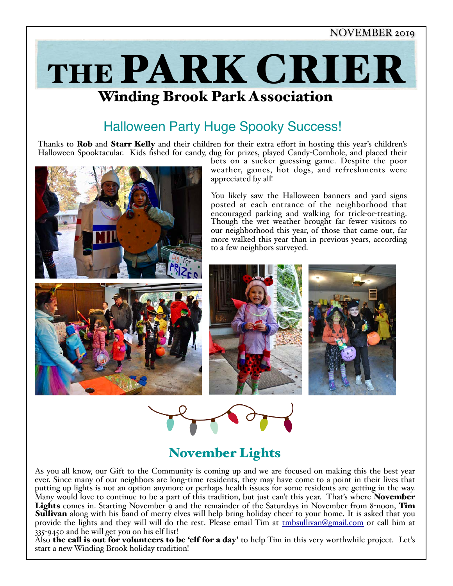

# Winding Brook Park Association

## Halloween Party Huge Spooky Success!

Thanks to **Rob** and **Starr Kelly** and their children for their extra effort in hosting this year's children's Halloween Spooktacular. Kids fished for candy, dug for prizes, played Candy-Cornhole, and placed their



bets on a sucker guessing game. Despite the poor weather, games, hot dogs, and refreshments were appreciated by all!

You likely saw the Halloween banners and yard signs posted at each entrance of the neighborhood that encouraged parking and walking for trick-or-treating. Though the wet weather brought far fewer visitors to our neighborhood this year, of those that came out, far more walked this year than in previous years, according to a few neighbors surveyed.



# November Lights

As you all know, our Gift to the Community is coming up and we are focused on making this the best year ever. Since many of our neighbors are long-time residents, they may have come to a point in their lives that putting up lights is not an option anymore or perhaps health issues for some residents are getting in the way. Many would love to continue to be a part of this tradition, but just can't this year. That's where **November** Lights comes in. Starting November 9 and the remainder of the Saturdays in November from 8-noon, Tim **Sullivan** along with his band of merry elves will help bring holiday cheer to your home. It is asked that you provide the lights and they will will do the rest. Please email Tim at [tmbsullivan@gmail.com](mailto:tmbsullivan@gmail.com) or call him at 335-9450 and he will get you on his elf list!

Also **the call is out for volunteers to be 'elf for a day'** to help Tim in this very worthwhile project. Let's start a new Winding Brook holiday tradition!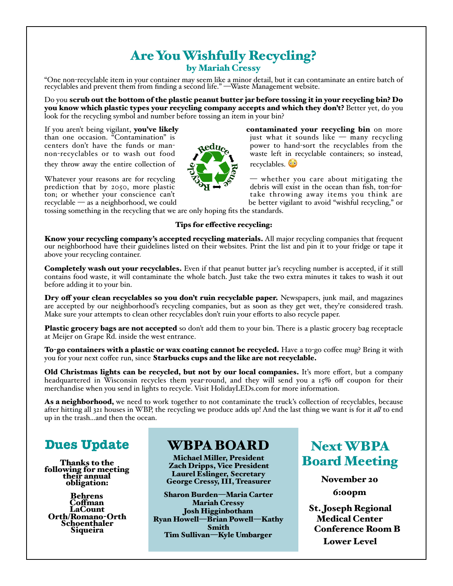### Are You Wishfully Recycling? by Mariah Cressy

"One non-recyclable item in your container may seem like a minor detail, but it can contaminate an entire batch of recyclables and prevent them from finding a second life." —Waste Management website.

Do you scrub out the bottom of the plastic peanut butter jar before tossing it in your recycling bin? Do you know which plastic types your recycling company accepts and which they don't? Better yet, do you look for the recycling symbol and number before tossing an item in your bin?

they throw away the entire collection of  $\mathcal{C}$  recyclables.

tossing something in the recycling that we are only hoping fits the standards.

#### Tips for efective recycling:

Know your recycling company's accepted recycling materials. All major recycling companies that frequent our neighborhood have their guidelines listed on their websites. Print the list and pin it to your fridge or tape it above your recycling container.

Completely wash out your recyclables. Even if that peanut butter jar's recycling number is accepted, if it still contains food waste, it will contaminate the whole batch. Just take the two extra minutes it takes to wash it out before adding it to your bin.

Dry off your clean recyclables so you don't ruin recyclable paper. Newspapers, junk mail, and magazines are accepted by our neighborhood's recycling companies, but as soon as they get wet, they're considered trash. Make sure your attempts to clean other recyclables don't ruin your efforts to also recycle paper.

Plastic grocery bags are not accepted so don't add them to your bin. There is a plastic grocery bag receptacle at Meijer on Grape Rd. inside the west entrance.

To-go containers with a plastic or wax coating cannot be recycled. Have a to-go coffee mug? Bring it with you for your next coffee run, since Starbucks cups and the like are not recyclable.

Old Christmas lights can be recycled, but not by our local companies. It's more effort, but a company headquartered in Wisconsin recycles them year-round, and they will send you a 15% off coupon for their merchandise when you send in lights to recycle. Visit HolidayLEDs.com for more information.

As a neighborhood, we need to work together to not contaminate the truck's collection of recyclables, because after hitting all 321 houses in WBP, the recycling we produce adds up! And the last thing we want is for it *al* to end up in the trash...and then the ocean.

## **Dues Update**

Thanks to the following for meeting their annual<br>obligation:

Behrens Cofman LaCount Orth/Romano-Orth Schoenthaler Siqueira

## WBPA BOARD

Michael Miller, President Zach Dripps, Vice President Laurel Eslinger, Secretary George Cressy, III, Treasurer

Sharon Burden—Maria Carter Mariah Cressy Josh Higginbotham Ryan Howell—Brian Powell—Kathy Smith Tim Sullivan—Kyle Umbarger

Next WBPA Board Meeting

> November 20 6:00pm

St. Joseph Regional Medical Center Conference Room B Lower Level



If you aren't being vigilant, you've likely contaminated your recycling bin on more than one occasion. "Contamination" is that it sounds like  $-$  many recycling than one occasion. "Contamination" is just what it sounds like — many recycling<br>centers don't have the funds or man-<br> $\partial$ edu. power to hand-sort the recyclables from the centers don't have the funds or man-<br>non-recyclables or to wash out food<br>waste left in recyclable containers; so instead, waste left in recyclable containers; so instead,

Whatever your reasons are for recycling  $\mathcal{L}$   $\mathcal{L}$   $\rightarrow$  whether you care about mitigating the prediction that by 2050, more plastic debris will exist in the ocean than fish, ton-for-<br>ton; or whether your conscience can't take throwing away items you think are<br>recyclable — as a neighborhood, we could be better vigi be better vigilant to avoid "wishful recycling," or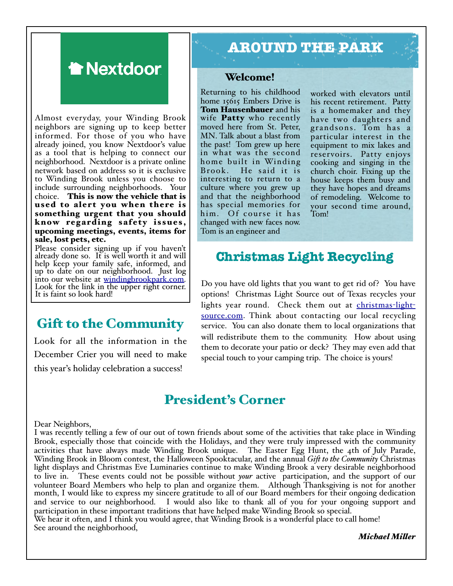

Almost everyday, your Winding Brook neighbors are signing up to keep better informed. For those of you who have already joined, you know Nextdoor's value as a tool that is helping to connect our neighborhood. Nextdoor is a private online network based on address so it is exclusive to Winding Brook unless you choose to include surrounding neighborhoods. Your choice. This is now the vehicle that is used to alert you when there is something urgent that you should know regarding safety issues, upcoming meetings, events, items for sale, lost pets, etc.

Please consider signing up if you haven't already done so. It is well worth it and will help keep your family safe, informed, and up to date on our neighborhood. Just log into our website at [windingbrookpark.com.](http://windingbrookpark.com) Look for the link i[n the upper right corner.](http://windingbrookpark.com) It is faint so look hard!

## Gift to the Community

Look for all the information in the December Crier you will need to make this year's holiday celebration a success!

# **AROUND THE PARK**

#### Welcome!

Returning to his childhood home 15615 Embers Drive is Tom Hausenbauer and his wife **Patty** who recently moved here from St. Peter, MN. Talk about a blast from the past! Tom grew up here in what was the second home built in Winding Brook. He said it is interesting to return to a culture where you grew up and that the neighborhood has special memories for him. Of course it has changed with new faces now. Tom is an engineer and

worked with elevators until his recent retirement. Patty is a homemaker and they have two daughters and grandsons. Tom has a particular interest in the equipment to mix lakes and reservoirs. Patty enjoys cooking and singing in the church choir. Fixing up the house keeps them busy and they have hopes and dreams of remodeling. Welcome to your second time around, Tom!

## **Christmas Light Recycling**

Do you have old lights that you want to get rid of? You have options! Christmas Light Source out of Texas recycles your lights year round. Check them out at [christmas](http://christmas-light-source.com)-light[source.com](http://christmas-light-source.com). Think about contacting our local recycling service. You can also donate them to local organizations that will redistribute them to the community. How about using them to decorate your patio or deck? They may even add that special touch to your camping trip. The choice is yours!

### President's Corner

#### Dear Neighbors,

I was recently telling a few of our out of town friends about some of the activities that take place in Winding Brook, especially those that coincide with the Holidays, and they were truly impressed with the community activities that have always made Winding Brook unique. The Easter Egg Hunt, the 4th of July Parade, Winding Brook in Bloom contest, the Halloween Spooktacular, and the annual *Gif to the Community* Christmas light displays and Christmas Eve Luminaries continue to make Winding Brook a very desirable neighborhood to live in. These events could not be possible without *your* active participation, and the support of our volunteer Board Members who help to plan and organize them. Although Thanksgiving is not for another month, I would like to express my sincere gratitude to all of our Board members for their ongoing dedication and service to our neighborhood. I would also like to thank all of you for your ongoing support and participation in these important traditions that have helped make Winding Brook so special. We hear it often, and I think you would agree, that Winding Brook is a wonderful place to call home! See around the neighborhood,

*Michael Miler*